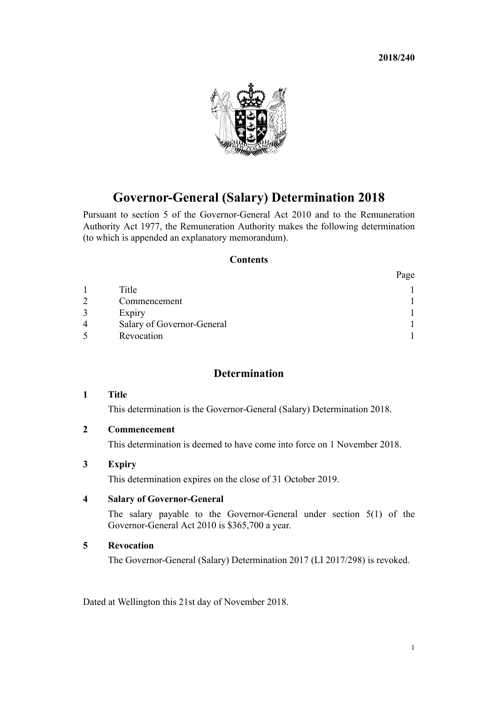**2018/240**

 $\mathbf{D}_{\text{max}}$ 



# **Governor-General (Salary) Determination 2018**

Pursuant to [section 5](http://prd-lgnz-nlb.prd.pco.net.nz/pdflink.aspx?id=DLM2999122) of the [Governor-General Act 2010](http://prd-lgnz-nlb.prd.pco.net.nz/pdflink.aspx?id=DLM2999100) and to the [Remuneration](http://prd-lgnz-nlb.prd.pco.net.nz/pdflink.aspx?id=DLM15636) [Authority Act 1977](http://prd-lgnz-nlb.prd.pco.net.nz/pdflink.aspx?id=DLM15636), the Remuneration Authority makes the following determination (to which is appended an explanatory memorandum).

#### **Contents**

|   |                            | rage |
|---|----------------------------|------|
|   | Title                      |      |
|   | Commencement               |      |
|   | Expiry                     |      |
| 4 | Salary of Governor-General |      |
|   | Revocation                 |      |

# **Determination**

## **1 Title**

This determination is the Governor-General (Salary) Determination 2018.

## **2 Commencement**

This determination is deemed to have come into force on 1 November 2018.

# **3 Expiry**

This determination expires on the close of 31 October 2019.

## **4 Salary of Governor-General**

The salary payable to the Governor-General under [section 5\(1\)](http://prd-lgnz-nlb.prd.pco.net.nz/pdflink.aspx?id=DLM2999122) of the Governor-General Act 2010 is \$365,700 a year.

#### **5 Revocation**

The [Governor-General \(Salary\) Determination 2017](http://prd-lgnz-nlb.prd.pco.net.nz/pdflink.aspx?id=DLM7514100) (LI 2017/298) is revoked.

Dated at Wellington this 21st day of November 2018.